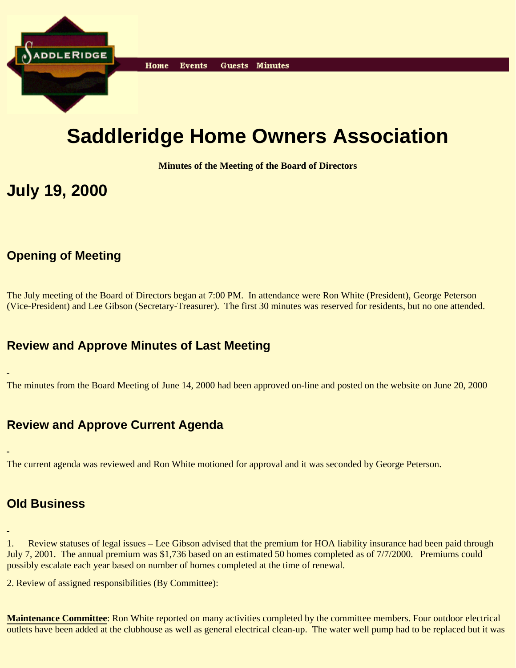

# **Saddleridge Home Owners Association**

**Minutes of the Meeting of the Board of Directors**

## **July 19, 2000**

## **Opening of Meeting**

The July meeting of the Board of Directors began at 7:00 PM. In attendance were Ron White (President), George Peterson (Vice-President) and Lee Gibson (Secretary-Treasurer). The first 30 minutes was reserved for residents, but no one attended.

### **Review and Approve Minutes of Last Meeting**

The minutes from the Board Meeting of June 14, 2000 had been approved on-line and posted on the website on June 20, 2000

### **Review and Approve Current Agenda**

The current agenda was reviewed and Ron White motioned for approval and it was seconded by George Peterson.

#### **Old Business**

1. Review statuses of legal issues – Lee Gibson advised that the premium for HOA liability insurance had been paid through July 7, 2001. The annual premium was \$1,736 based on an estimated 50 homes completed as of 7/7/2000. Premiums could possibly escalate each year based on number of homes completed at the time of renewal.

2. Review of assigned responsibilities (By Committee):

**Maintenance Committee**: Ron White reported on many activities completed by the committee members. Four outdoor electrical outlets have been added at the clubhouse as well as general electrical clean-up. The water well pump had to be replaced but it was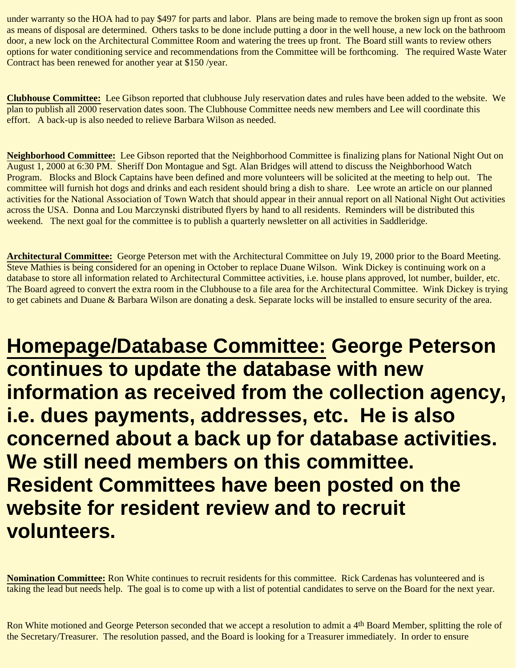under warranty so the HOA had to pay \$497 for parts and labor. Plans are being made to remove the broken sign up front as soon as means of disposal are determined. Others tasks to be done include putting a door in the well house, a new lock on the bathroom door, a new lock on the Architectural Committee Room and watering the trees up front. The Board still wants to review others options for water conditioning service and recommendations from the Committee will be forthcoming. The required Waste Water Contract has been renewed for another year at \$150 /year.

**Clubhouse Committee:** Lee Gibson reported that clubhouse July reservation dates and rules have been added to the website. We plan to publish all 2000 reservation dates soon. The Clubhouse Committee needs new members and Lee will coordinate this effort. A back-up is also needed to relieve Barbara Wilson as needed.

**Neighborhood Committee:** Lee Gibson reported that the Neighborhood Committee is finalizing plans for National Night Out on August 1, 2000 at 6:30 PM. Sheriff Don Montague and Sgt. Alan Bridges will attend to discuss the Neighborhood Watch Program. Blocks and Block Captains have been defined and more volunteers will be solicited at the meeting to help out. The committee will furnish hot dogs and drinks and each resident should bring a dish to share. Lee wrote an article on our planned activities for the National Association of Town Watch that should appear in their annual report on all National Night Out activities across the USA. Donna and Lou Marczynski distributed flyers by hand to all residents. Reminders will be distributed this weekend. The next goal for the committee is to publish a quarterly newsletter on all activities in Saddleridge.

**Architectural Committee:** George Peterson met with the Architectural Committee on July 19, 2000 prior to the Board Meeting. Steve Mathies is being considered for an opening in October to replace Duane Wilson. Wink Dickey is continuing work on a database to store all information related to Architectural Committee activities, i.e. house plans approved, lot number, builder, etc. The Board agreed to convert the extra room in the Clubhouse to a file area for the Architectural Committee. Wink Dickey is trying to get cabinets and Duane & Barbara Wilson are donating a desk. Separate locks will be installed to ensure security of the area.

**Homepage/Database Committee: George Peterson continues to update the database with new information as received from the collection agency, i.e. dues payments, addresses, etc. He is also concerned about a back up for database activities. We still need members on this committee. Resident Committees have been posted on the website for resident review and to recruit volunteers.**

**Nomination Committee:** Ron White continues to recruit residents for this committee. Rick Cardenas has volunteered and is taking the lead but needs help. The goal is to come up with a list of potential candidates to serve on the Board for the next year.

Ron White motioned and George Peterson seconded that we accept a resolution to admit a 4<sup>th</sup> Board Member, splitting the role of the Secretary/Treasurer. The resolution passed, and the Board is looking for a Treasurer immediately. In order to ensure